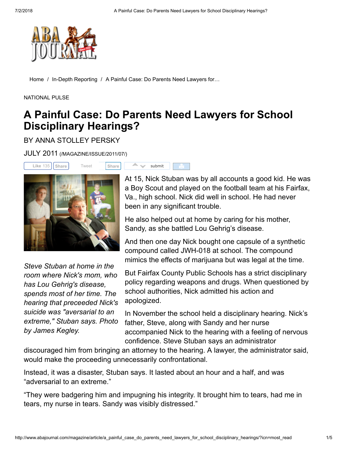

[Home](http://www.abajournal.com/) / [In-Depth Reporting](http://www.abajournal.com/magazine/) / A Painful Case: Do Parents Need Lawyers for...

NATIONAL PULSE

## A Painful Case: Do Parents Need Lawyers for School Disciplinary Hearings?

BY ANNA STOLLEY PERSKY

JULY 2011 [\(/MAGAZINE/ISSUE/2011/07/\)](http://www.abajournal.com/magazine/issue/2011/07/)



Steve Stuban at home in the room where Nick's mom, who has Lou Gehrig's disease, spends most of her time. The hearing that preceeded Nick's suicide was "aversarial to an extreme," Stuban says. Photo by James Kegley.

At 15, Nick Stuban was by all accounts a good kid. He was a Boy Scout and played on the football team at his Fairfax, Va., high school. Nick did well in school. He had never been in any significant trouble.

He also helped out at home by caring for his mother, Sandy, as she battled Lou Gehrig's disease.

And then one day Nick bought one capsule of a synthetic compound called JWH-018 at school. The compound mimics the effects of marijuana but was legal at the time.

But Fairfax County Public Schools has a strict disciplinary policy regarding weapons and drugs. When questioned by school authorities, Nick admitted his action and apologized.

In November the school held a disciplinary hearing. Nick's father, Steve, along with Sandy and her nurse accompanied Nick to the hearing with a feeling of nervous confidence. Steve Stuban says an administrator

discouraged him from bringing an attorney to the hearing. A lawyer, the administrator said, would make the proceeding unnecessarily confrontational.

Instead, it was a disaster, Stuban says. It lasted about an hour and a half, and was "adversarial to an extreme."

"They were badgering him and impugning his integrity. It brought him to tears, had me in tears, my nurse in tears. Sandy was visibly distressed."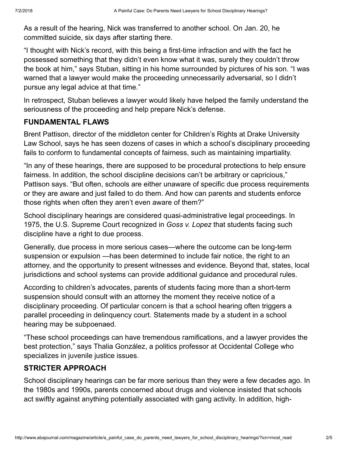As a result of the hearing, Nick was transferred to another school. On Jan. 20, he committed suicide, six days after starting there.

"I thought with Nick's record, with this being a first-time infraction and with the fact he possessed something that they didn't even know what it was, surely they couldn't throw the book at him," says Stuban, sitting in his home surrounded by pictures of his son. "I was warned that a lawyer would make the proceeding unnecessarily adversarial, so I didn't pursue any legal advice at that time."

In retrospect, Stuban believes a lawyer would likely have helped the family understand the seriousness of the proceeding and help prepare Nick's defense.

## FUNDAMENTAL FLAWS

Brent Pattison, director of the middleton center for Children's Rights at Drake University Law School, says he has seen dozens of cases in which a school's disciplinary proceeding fails to conform to fundamental concepts of fairness, such as maintaining impartiality.

"In any of these hearings, there are supposed to be procedural protections to help ensure fairness. In addition, the school discipline decisions can't be arbitrary or capricious," Pattison says. "But often, schools are either unaware of specific due process requirements or they are aware and just failed to do them. And how can parents and students enforce those rights when often they aren't even aware of them?"

School disciplinary hearings are considered quasi-administrative legal proceedings. In 1975, the U.S. Supreme Court recognized in Goss v. Lopez that students facing such discipline have a right to due process.

Generally, due process in more serious cases—where the outcome can be long-term suspension or expulsion —has been determined to include fair notice, the right to an attorney, and the opportunity to present witnesses and evidence. Beyond that, states, local jurisdictions and school systems can provide additional guidance and procedural rules.

According to children's advocates, parents of students facing more than a short-term suspension should consult with an attorney the moment they receive notice of a disciplinary proceeding. Of particular concern is that a school hearing often triggers a parallel proceeding in delinquency court. Statements made by a student in a school hearing may be subpoenaed.

"These school proceedings can have tremendous ramifications, and a lawyer provides the best protection," says Thalia González, a politics professor at Occidental College who specializes in juvenile justice issues.

## STRICTER APPROACH

School disciplinary hearings can be far more serious than they were a few decades ago. In the 1980s and 1990s, parents concerned about drugs and violence insisted that schools act swiftly against anything potentially associated with gang activity. In addition, high-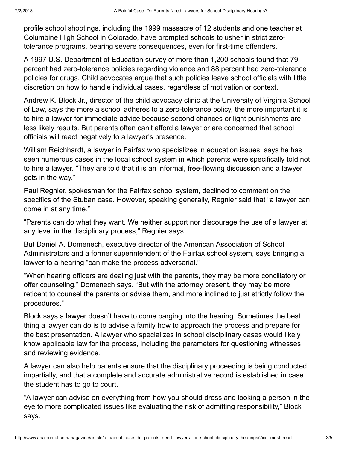profile school shootings, including the 1999 massacre of 12 students and one teacher at Columbine High School in Colorado, have prompted schools to usher in strict zerotolerance programs, bearing severe consequences, even for first-time offenders.

A 1997 U.S. Department of Education survey of more than 1,200 schools found that 79 percent had zero-tolerance policies regarding violence and 88 percent had zero-tolerance policies for drugs. Child advocates argue that such policies leave school officials with little discretion on how to handle individual cases, regardless of motivation or context.

Andrew K. Block Jr., director of the child advocacy clinic at the University of Virginia School of Law, says the more a school adheres to a zero-tolerance policy, the more important it is to hire a lawyer for immediate advice because second chances or light punishments are less likely results. But parents often can't afford a lawyer or are concerned that school officials will react negatively to a lawyer's presence.

William Reichhardt, a lawyer in Fairfax who specializes in education issues, says he has seen numerous cases in the local school system in which parents were specifically told not to hire a lawyer. "They are told that it is an informal, free-flowing discussion and a lawyer gets in the way."

Paul Regnier, spokesman for the Fairfax school system, declined to comment on the specifics of the Stuban case. However, speaking generally, Regnier said that "a lawyer can come in at any time."

"Parents can do what they want. We neither support nor discourage the use of a lawyer at any level in the disciplinary process," Regnier says.

But Daniel A. Domenech, executive director of the American Association of School Administrators and a former superintendent of the Fairfax school system, says bringing a lawyer to a hearing "can make the process adversarial."

"When hearing officers are dealing just with the parents, they may be more conciliatory or offer counseling," Domenech says. "But with the attorney present, they may be more reticent to counsel the parents or advise them, and more inclined to just strictly follow the procedures."

Block says a lawyer doesn't have to come barging into the hearing. Sometimes the best thing a lawyer can do is to advise a family how to approach the process and prepare for the best presentation. A lawyer who specializes in school disciplinary cases would likely know applicable law for the process, including the parameters for questioning witnesses and reviewing evidence.

A lawyer can also help parents ensure that the disciplinary proceeding is being conducted impartially, and that a complete and accurate administrative record is established in case the student has to go to court.

"A lawyer can advise on everything from how you should dress and looking a person in the eye to more complicated issues like evaluating the risk of admitting responsibility," Block says.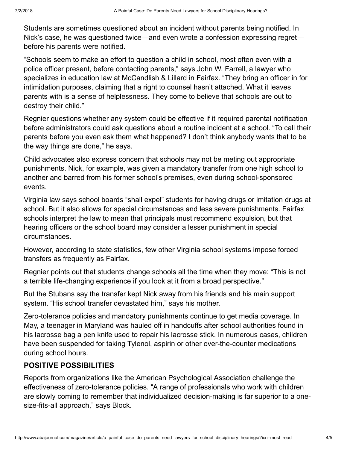Students are sometimes questioned about an incident without parents being notified. In Nick's case, he was questioned twice—and even wrote a confession expressing regret before his parents were notified.

"Schools seem to make an effort to question a child in school, most often even with a police officer present, before contacting parents," says John W. Farrell, a lawyer who specializes in education law at McCandlish & Lillard in Fairfax. "They bring an officer in for intimidation purposes, claiming that a right to counsel hasn't attached. What it leaves parents with is a sense of helplessness. They come to believe that schools are out to destroy their child."

Regnier questions whether any system could be effective if it required parental notification before administrators could ask questions about a routine incident at a school. "To call their parents before you even ask them what happened? I don't think anybody wants that to be the way things are done," he says.

Child advocates also express concern that schools may not be meting out appropriate punishments. Nick, for example, was given a mandatory transfer from one high school to another and barred from his former school's premises, even during school-sponsored events.

Virginia law says school boards "shall expel" students for having drugs or imitation drugs at school. But it also allows for special circumstances and less severe punishments. Fairfax schools interpret the law to mean that principals must recommend expulsion, but that hearing officers or the school board may consider a lesser punishment in special circumstances.

However, according to state statistics, few other Virginia school systems impose forced transfers as frequently as Fairfax.

Regnier points out that students change schools all the time when they move: "This is not a terrible life-changing experience if you look at it from a broad perspective."

But the Stubans say the transfer kept Nick away from his friends and his main support system. "His school transfer devastated him," says his mother.

Zero-tolerance policies and mandatory punishments continue to get media coverage. In May, a teenager in Maryland was hauled off in handcuffs after school authorities found in his lacrosse bag a pen knife used to repair his lacrosse stick. In numerous cases, children have been suspended for taking Tylenol, aspirin or other over-the-counter medications during school hours.

## POSITIVE POSSIBILITIES

Reports from organizations like the American Psychological Association challenge the effectiveness of zero-tolerance policies. "A range of professionals who work with children are slowly coming to remember that individualized decision-making is far superior to a onesize-fits-all approach," says Block.